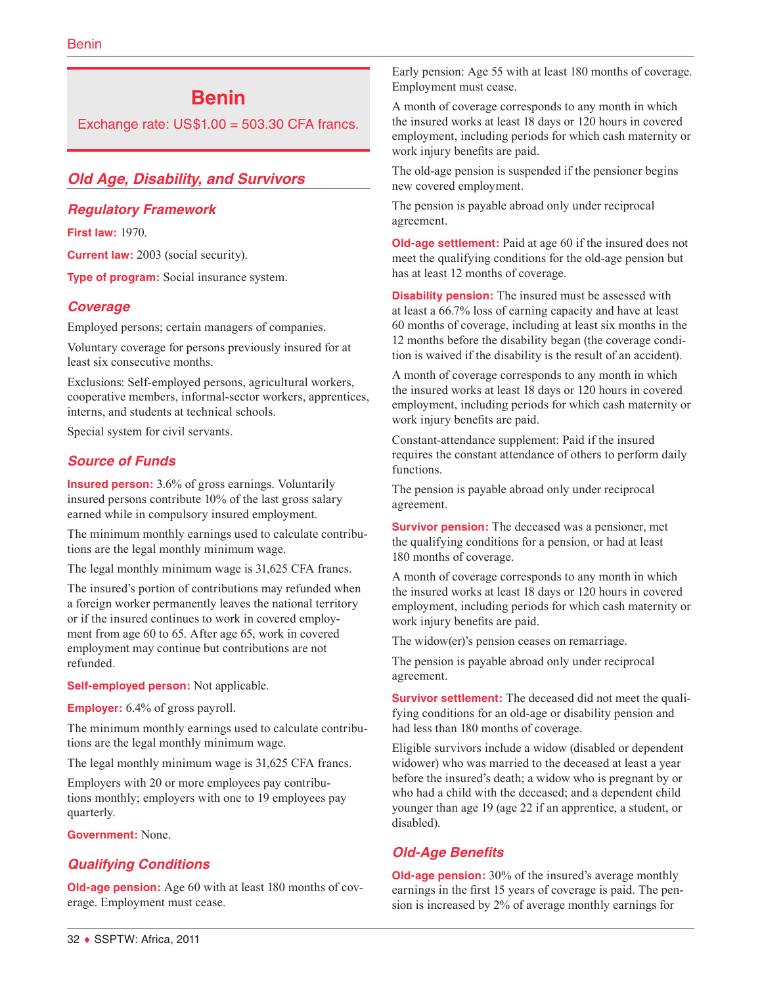# **Benin**

Exchange rate:  $US$1.00 = 503.30$  CFA francs.

# *Old Age, Disability, and Survivors*

#### *Regulatory Framework*

**First law:** 1970.

**Current law:** 2003 (social security).

**Type of program:** Social insurance system.

## *Coverage*

Employed persons; certain managers of companies.

Voluntary coverage for persons previously insured for at least six consecutive months.

Exclusions: Self-employed persons, agricultural workers, cooperative members, informal-sector workers, apprentices, interns, and students at technical schools.

Special system for civil servants.

## *Source of Funds*

**Insured person:** 3.6% of gross earnings. Voluntarily insured persons contribute 10% of the last gross salary earned while in compulsory insured employment.

The minimum monthly earnings used to calculate contributions are the legal monthly minimum wage.

The legal monthly minimum wage is 31,625 CFA francs.

The insured's portion of contributions may refunded when a foreign worker permanently leaves the national territory or if the insured continues to work in covered employment from age 60 to 65. After age 65, work in covered employment may continue but contributions are not refunded.

**Self-employed person:** Not applicable.

**Employer:** 6.4% of gross payroll.

The minimum monthly earnings used to calculate contributions are the legal monthly minimum wage.

The legal monthly minimum wage is 31,625 CFA francs.

Employers with 20 or more employees pay contributions monthly; employers with one to 19 employees pay quarterly.

**Government:** None.

# *Qualifying Conditions*

**Old-age pension:** Age 60 with at least 180 months of coverage. Employment must cease.

Early pension: Age 55 with at least 180 months of coverage. Employment must cease.

A month of coverage corresponds to any month in which the insured works at least 18 days or 120 hours in covered employment, including periods for which cash maternity or work injury benefits are paid.

The old-age pension is suspended if the pensioner begins new covered employment.

The pension is payable abroad only under reciprocal agreement.

**Old-age settlement:** Paid at age 60 if the insured does not meet the qualifying conditions for the old-age pension but has at least 12 months of coverage.

**Disability pension:** The insured must be assessed with at least a 66.7% loss of earning capacity and have at least 60 months of coverage, including at least six months in the 12 months before the disability began (the coverage condition is waived if the disability is the result of an accident).

A month of coverage corresponds to any month in which the insured works at least 18 days or 120 hours in covered employment, including periods for which cash maternity or work injury benefits are paid.

Constant-attendance supplement: Paid if the insured requires the constant attendance of others to perform daily functions.

The pension is payable abroad only under reciprocal agreement.

**Survivor pension:** The deceased was a pensioner, met the qualifying conditions for a pension, or had at least 180 months of coverage.

A month of coverage corresponds to any month in which the insured works at least 18 days or 120 hours in covered employment, including periods for which cash maternity or work injury benefits are paid.

The widow(er)'s pension ceases on remarriage.

The pension is payable abroad only under reciprocal agreement.

**Survivor settlement:** The deceased did not meet the qualifying conditions for an old-age or disability pension and had less than 180 months of coverage.

Eligible survivors include a widow (disabled or dependent widower) who was married to the deceased at least a year before the insured's death; a widow who is pregnant by or who had a child with the deceased; and a dependent child younger than age 19 (age 22 if an apprentice, a student, or disabled).

## *Old-Age Benefits*

**Old-age pension:** 30% of the insured's average monthly earnings in the first 15 years of coverage is paid. The pension is increased by 2% of average monthly earnings for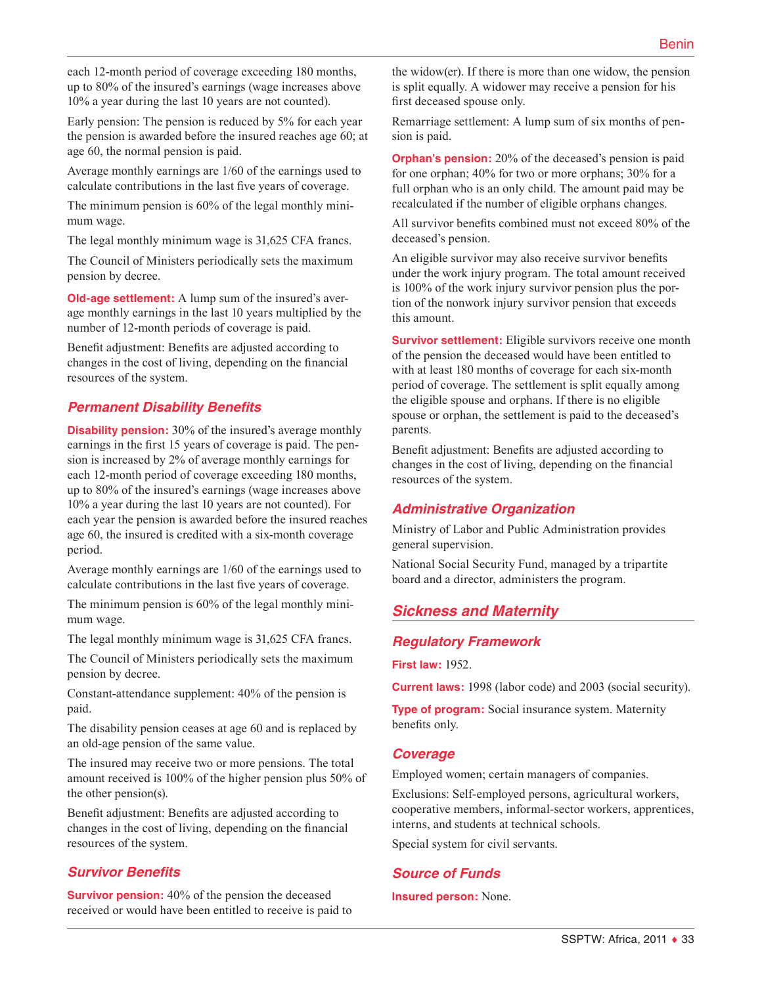each 12-month period of coverage exceeding 180 months, up to 80% of the insured's earnings (wage increases above 10% a year during the last 10 years are not counted).

Early pension: The pension is reduced by 5% for each year the pension is awarded before the insured reaches age 60; at age 60, the normal pension is paid.

Average monthly earnings are 1/60 of the earnings used to calculate contributions in the last five years of coverage.

The minimum pension is 60% of the legal monthly minimum wage.

The legal monthly minimum wage is 31,625 CFA francs.

The Council of Ministers periodically sets the maximum pension by decree.

**Old-age settlement:** A lump sum of the insured's average monthly earnings in the last 10 years multiplied by the number of 12-month periods of coverage is paid.

Benefit adjustment: Benefits are adjusted according to changes in the cost of living, depending on the financial resources of the system.

#### *Permanent Disability Benefits*

**Disability pension:** 30% of the insured's average monthly earnings in the first 15 years of coverage is paid. The pension is increased by 2% of average monthly earnings for each 12-month period of coverage exceeding 180 months, up to 80% of the insured's earnings (wage increases above 10% a year during the last 10 years are not counted). For each year the pension is awarded before the insured reaches age 60, the insured is credited with a six-month coverage period.

Average monthly earnings are 1/60 of the earnings used to calculate contributions in the last five years of coverage.

The minimum pension is 60% of the legal monthly minimum wage.

The legal monthly minimum wage is 31,625 CFA francs.

The Council of Ministers periodically sets the maximum pension by decree.

Constant-attendance supplement: 40% of the pension is paid.

The disability pension ceases at age 60 and is replaced by an old-age pension of the same value.

The insured may receive two or more pensions. The total amount received is 100% of the higher pension plus 50% of the other pension(s).

Benefit adjustment: Benefits are adjusted according to changes in the cost of living, depending on the financial resources of the system.

#### *Survivor Benefits*

**Survivor pension:** 40% of the pension the deceased received or would have been entitled to receive is paid to the widow(er). If there is more than one widow, the pension is split equally. A widower may receive a pension for his first deceased spouse only.

Remarriage settlement: A lump sum of six months of pension is paid.

**Orphan's pension:** 20% of the deceased's pension is paid for one orphan; 40% for two or more orphans; 30% for a full orphan who is an only child. The amount paid may be recalculated if the number of eligible orphans changes.

All survivor benefits combined must not exceed 80% of the deceased's pension.

An eligible survivor may also receive survivor benefits under the work injury program. The total amount received is 100% of the work injury survivor pension plus the portion of the nonwork injury survivor pension that exceeds this amount.

**Survivor settlement:** Eligible survivors receive one month of the pension the deceased would have been entitled to with at least 180 months of coverage for each six-month period of coverage. The settlement is split equally among the eligible spouse and orphans. If there is no eligible spouse or orphan, the settlement is paid to the deceased's parents.

Benefit adjustment: Benefits are adjusted according to changes in the cost of living, depending on the financial resources of the system.

#### *Administrative Organization*

Ministry of Labor and Public Administration provides general supervision.

National Social Security Fund, managed by a tripartite board and a director, administers the program.

# *Sickness and Maternity*

#### *Regulatory Framework*

**First law:** 1952.

**Current laws:** 1998 (labor code) and 2003 (social security).

**Type of program:** Social insurance system. Maternity benefits only.

#### *Coverage*

Employed women; certain managers of companies.

Exclusions: Self-employed persons, agricultural workers, cooperative members, informal-sector workers, apprentices, interns, and students at technical schools.

Special system for civil servants.

#### *Source of Funds*

**Insured person:** None.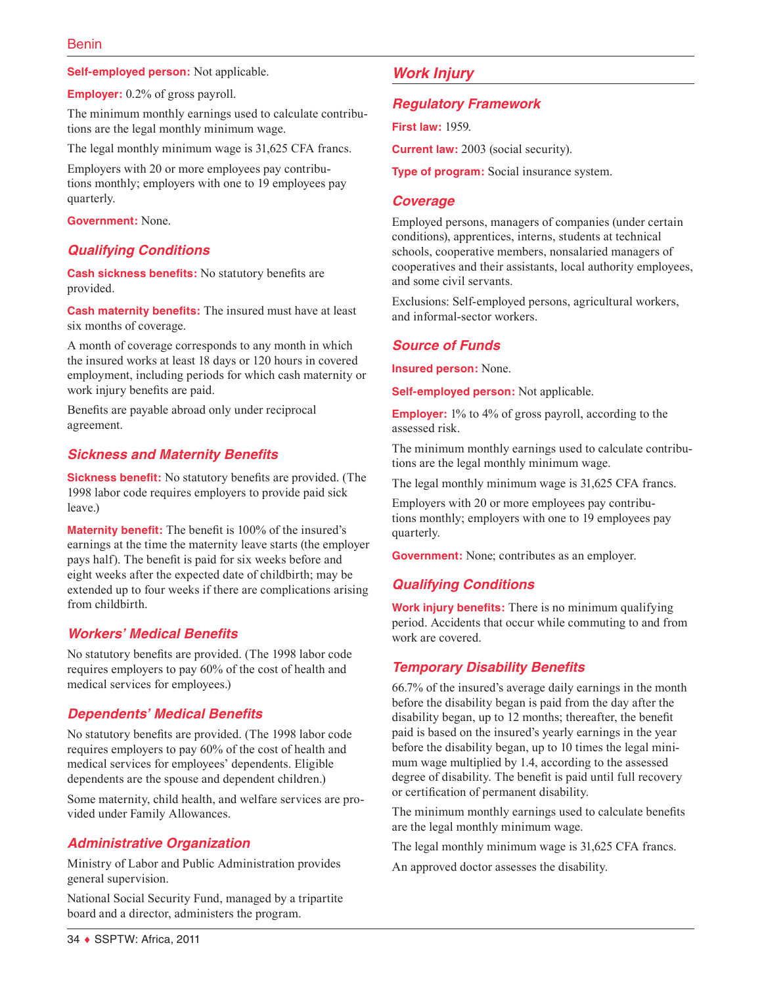**Self-employed person:** Not applicable.

**Employer:** 0.2% of gross payroll.

The minimum monthly earnings used to calculate contributions are the legal monthly minimum wage.

The legal monthly minimum wage is 31,625 CFA francs.

Employers with 20 or more employees pay contributions monthly; employers with one to 19 employees pay quarterly.

**Government:** None.

## *Qualifying Conditions*

**Cash sickness benefits:** No statutory benefits are provided.

**Cash maternity benefits:** The insured must have at least six months of coverage.

A month of coverage corresponds to any month in which the insured works at least 18 days or 120 hours in covered employment, including periods for which cash maternity or work injury benefits are paid.

Benefits are payable abroad only under reciprocal agreement.

#### *Sickness and Maternity Benefits*

**Sickness benefit:** No statutory benefits are provided. (The 1998 labor code requires employers to provide paid sick leave.)

**Maternity benefit:** The benefit is 100% of the insured's earnings at the time the maternity leave starts (the employer pays half). The benefit is paid for six weeks before and eight weeks after the expected date of childbirth; may be extended up to four weeks if there are complications arising from childbirth.

## *Workers' Medical Benefits*

No statutory benefits are provided. (The 1998 labor code requires employers to pay 60% of the cost of health and medical services for employees.)

## *Dependents' Medical Benefits*

No statutory benefits are provided. (The 1998 labor code requires employers to pay 60% of the cost of health and medical services for employees' dependents. Eligible dependents are the spouse and dependent children.)

Some maternity, child health, and welfare services are provided under Family Allowances.

## *Administrative Organization*

Ministry of Labor and Public Administration provides general supervision.

National Social Security Fund, managed by a tripartite board and a director, administers the program.

## *Work Injury*

#### *Regulatory Framework*

**First law:** 1959.

**Current law:** 2003 (social security).

**Type of program:** Social insurance system.

#### *Coverage*

Employed persons, managers of companies (under certain conditions), apprentices, interns, students at technical schools, cooperative members, nonsalaried managers of cooperatives and their assistants, local authority employees, and some civil servants.

Exclusions: Self-employed persons, agricultural workers, and informal-sector workers.

## *Source of Funds*

**Insured person:** None.

**Self-employed person:** Not applicable.

**Employer:** 1% to 4% of gross payroll, according to the assessed risk.

The minimum monthly earnings used to calculate contributions are the legal monthly minimum wage.

The legal monthly minimum wage is 31,625 CFA francs.

Employers with 20 or more employees pay contributions monthly; employers with one to 19 employees pay quarterly.

**Government:** None; contributes as an employer.

## *Qualifying Conditions*

**Work injury benefits:** There is no minimum qualifying period. Accidents that occur while commuting to and from work are covered.

## *Temporary Disability Benefits*

66.7% of the insured's average daily earnings in the month before the disability began is paid from the day after the disability began, up to 12 months; thereafter, the benefit paid is based on the insured's yearly earnings in the year before the disability began, up to 10 times the legal minimum wage multiplied by 1.4, according to the assessed degree of disability. The benefit is paid until full recovery or certification of permanent disability.

The minimum monthly earnings used to calculate benefits are the legal monthly minimum wage.

The legal monthly minimum wage is 31,625 CFA francs.

An approved doctor assesses the disability.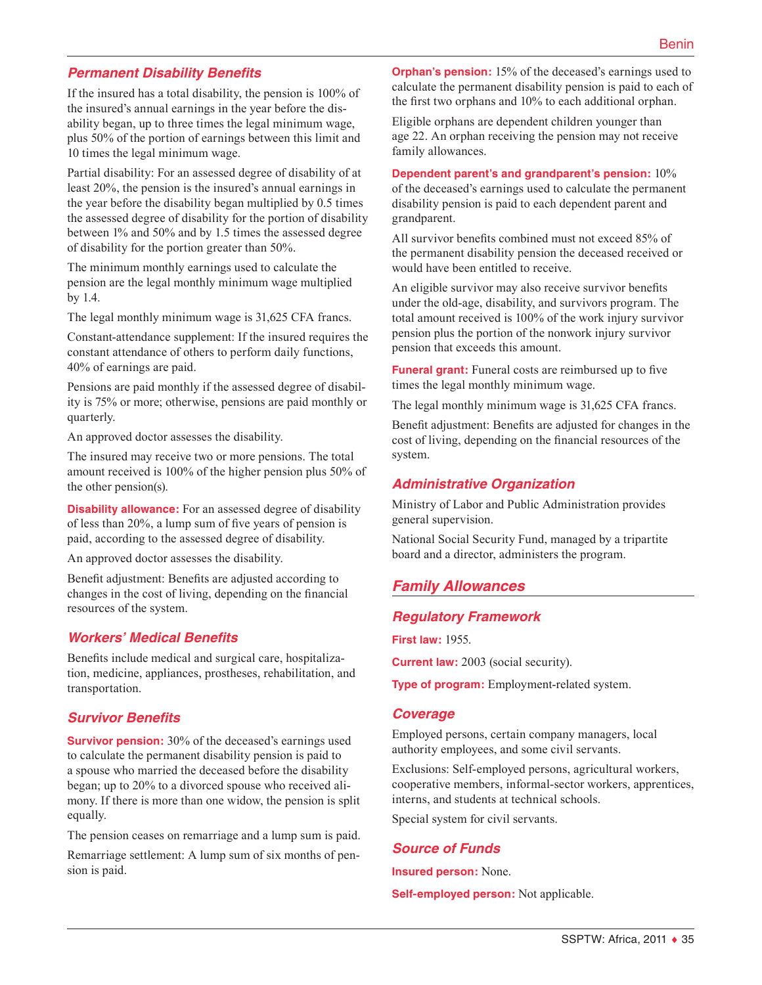## *Permanent Disability Benefits*

If the insured has a total disability, the pension is 100% of the insured's annual earnings in the year before the disability began, up to three times the legal minimum wage, plus 50% of the portion of earnings between this limit and 10 times the legal minimum wage.

Partial disability: For an assessed degree of disability of at least 20%, the pension is the insured's annual earnings in the year before the disability began multiplied by 0.5 times the assessed degree of disability for the portion of disability between 1% and 50% and by 1.5 times the assessed degree of disability for the portion greater than 50%.

The minimum monthly earnings used to calculate the pension are the legal monthly minimum wage multiplied by 1.4.

The legal monthly minimum wage is 31,625 CFA francs.

Constant-attendance supplement: If the insured requires the constant attendance of others to perform daily functions, 40% of earnings are paid.

Pensions are paid monthly if the assessed degree of disability is 75% or more; otherwise, pensions are paid monthly or quarterly.

An approved doctor assesses the disability.

The insured may receive two or more pensions. The total amount received is 100% of the higher pension plus 50% of the other pension(s).

**Disability allowance:** For an assessed degree of disability of less than 20%, a lump sum of five years of pension is paid, according to the assessed degree of disability.

An approved doctor assesses the disability.

Benefit adjustment: Benefits are adjusted according to changes in the cost of living, depending on the financial resources of the system.

#### *Workers' Medical Benefits*

Benefits include medical and surgical care, hospitalization, medicine, appliances, prostheses, rehabilitation, and transportation.

#### *Survivor Benefits*

**Survivor pension:** 30% of the deceased's earnings used to calculate the permanent disability pension is paid to a spouse who married the deceased before the disability began; up to 20% to a divorced spouse who received alimony. If there is more than one widow, the pension is split equally.

The pension ceases on remarriage and a lump sum is paid.

Remarriage settlement: A lump sum of six months of pension is paid.

**Orphan's pension:** 15% of the deceased's earnings used to calculate the permanent disability pension is paid to each of the first two orphans and 10% to each additional orphan.

Eligible orphans are dependent children younger than age 22. An orphan receiving the pension may not receive family allowances.

# **Dependent parent's and grandparent's pension:** 10%

of the deceased's earnings used to calculate the permanent disability pension is paid to each dependent parent and grandparent.

All survivor benefits combined must not exceed 85% of the permanent disability pension the deceased received or would have been entitled to receive.

An eligible survivor may also receive survivor benefits under the old-age, disability, and survivors program. The total amount received is 100% of the work injury survivor pension plus the portion of the nonwork injury survivor pension that exceeds this amount.

**Funeral grant:** Funeral costs are reimbursed up to five times the legal monthly minimum wage.

The legal monthly minimum wage is 31,625 CFA francs.

Benefit adjustment: Benefits are adjusted for changes in the cost of living, depending on the financial resources of the system.

#### *Administrative Organization*

Ministry of Labor and Public Administration provides general supervision.

National Social Security Fund, managed by a tripartite board and a director, administers the program.

# *Family Allowances*

#### *Regulatory Framework*

**First law:** 1955.

**Current law:** 2003 (social security).

**Type of program:** Employment-related system.

#### *Coverage*

Employed persons, certain company managers, local authority employees, and some civil servants.

Exclusions: Self-employed persons, agricultural workers, cooperative members, informal-sector workers, apprentices, interns, and students at technical schools.

Special system for civil servants.

# *Source of Funds*

**Insured person:** None.

**Self-employed person:** Not applicable.